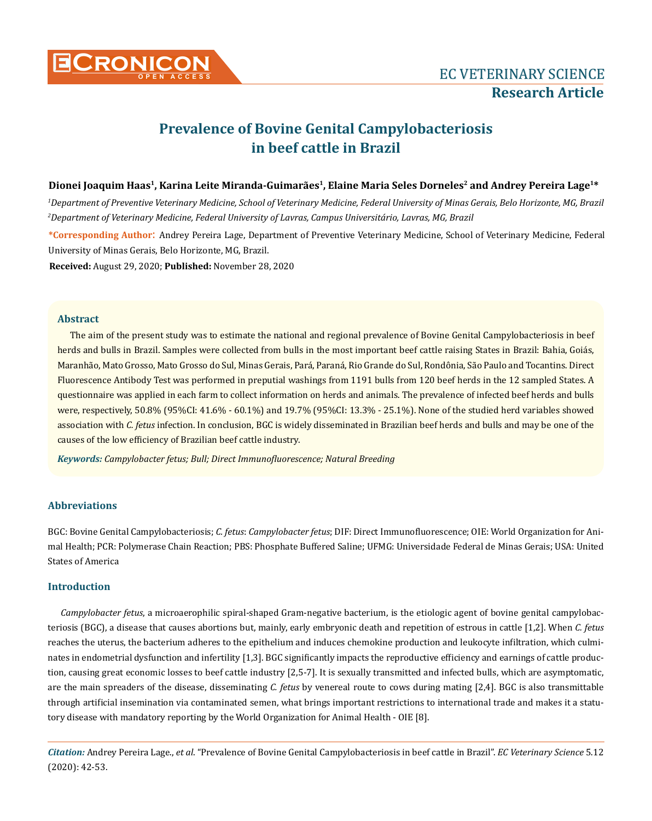

# **Prevalence of Bovine Genital Campylobacteriosis in beef cattle in Brazil**

#### **Dionei Joaquim Haas1, Karina Leite Miranda-Guimarães1, Elaine Maria Seles Dorneles2 and Andrey Pereira Lage1\***

*1 Department of Preventive Veterinary Medicine, School of Veterinary Medicine, Federal University of Minas Gerais, Belo Horizonte, MG, Brazil 2 Department of Veterinary Medicine, Federal University of Lavras, Campus Universitário, Lavras, MG, Brazil*

**\*Corresponding Author**: Andrey Pereira Lage, Department of Preventive Veterinary Medicine, School of Veterinary Medicine, Federal University of Minas Gerais, Belo Horizonte, MG, Brazil.

**Received:** August 29, 2020; **Published:** November 28, 2020

#### **Abstract**

The aim of the present study was to estimate the national and regional prevalence of Bovine Genital Campylobacteriosis in beef herds and bulls in Brazil. Samples were collected from bulls in the most important beef cattle raising States in Brazil: Bahia, Goiás, Maranhão, Mato Grosso, Mato Grosso do Sul, Minas Gerais, Pará, Paraná, Rio Grande do Sul, Rondônia, São Paulo and Tocantins. Direct Fluorescence Antibody Test was performed in preputial washings from 1191 bulls from 120 beef herds in the 12 sampled States. A questionnaire was applied in each farm to collect information on herds and animals. The prevalence of infected beef herds and bulls were, respectively, 50.8% (95%CI: 41.6% - 60.1%) and 19.7% (95%CI: 13.3% - 25.1%). None of the studied herd variables showed association with *C. fetus* infection. In conclusion, BGC is widely disseminated in Brazilian beef herds and bulls and may be one of the causes of the low efficiency of Brazilian beef cattle industry.

*Keywords: Campylobacter fetus; Bull; Direct Immunofluorescence; Natural Breeding*

### **Abbreviations**

BGC: Bovine Genital Campylobacteriosis; *C. fetus*: *Campylobacter fetus*; DIF: Direct Immunofluorescence; OIE: World Organization for Animal Health; PCR: Polymerase Chain Reaction; PBS: Phosphate Buffered Saline; UFMG: Universidade Federal de Minas Gerais; USA: United States of America

## **Introduction**

*Campylobacter fetus*, a microaerophilic spiral-shaped Gram-negative bacterium, is the etiologic agent of bovine genital campylobacteriosis (BGC), a disease that causes abortions but, mainly, early embryonic death and repetition of estrous in cattle [1,2]. When *C. fetus* reaches the uterus, the bacterium adheres to the epithelium and induces chemokine production and leukocyte infiltration, which culminates in endometrial dysfunction and infertility [1,3]. BGC significantly impacts the reproductive efficiency and earnings of cattle production, causing great economic losses to beef cattle industry [2,5-7]. It is sexually transmitted and infected bulls, which are asymptomatic, are the main spreaders of the disease, disseminating *C. fetus* by venereal route to cows during mating [2,4]. BGC is also transmittable through artificial insemination via contaminated semen, what brings important restrictions to international trade and makes it a statutory disease with mandatory reporting by the World Organization for Animal Health - OIE [8].

*Citation:* Andrey Pereira Lage., *et al*. "Prevalence of Bovine Genital Campylobacteriosis in beef cattle in Brazil". *EC Veterinary Science* 5.12 (2020): 42-53.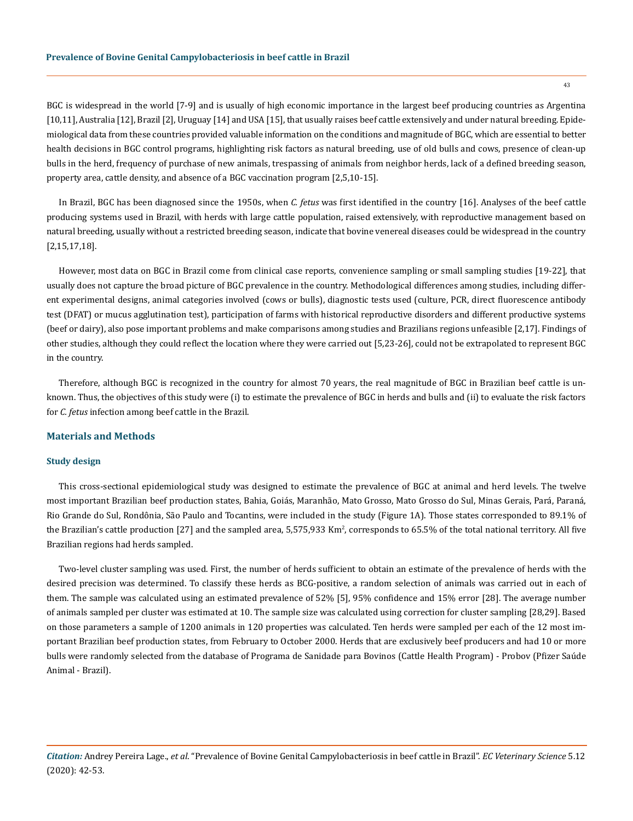BGC is widespread in the world [7-9] and is usually of high economic importance in the largest beef producing countries as Argentina [10,11], Australia [12], Brazil [2], Uruguay [14] and USA [15], that usually raises beef cattle extensively and under natural breeding. Epidemiological data from these countries provided valuable information on the conditions and magnitude of BGC, which are essential to better health decisions in BGC control programs, highlighting risk factors as natural breeding, use of old bulls and cows, presence of clean-up bulls in the herd, frequency of purchase of new animals, trespassing of animals from neighbor herds, lack of a defined breeding season, property area, cattle density, and absence of a BGC vaccination program [2,5,10-15].

In Brazil, BGC has been diagnosed since the 1950s, when *C. fetus* was first identified in the country [16]. Analyses of the beef cattle producing systems used in Brazil, with herds with large cattle population, raised extensively, with reproductive management based on natural breeding, usually without a restricted breeding season, indicate that bovine venereal diseases could be widespread in the country [2,15,17,18].

However, most data on BGC in Brazil come from clinical case reports, convenience sampling or small sampling studies [19-22], that usually does not capture the broad picture of BGC prevalence in the country. Methodological differences among studies, including different experimental designs, animal categories involved (cows or bulls), diagnostic tests used (culture, PCR, direct fluorescence antibody test (DFAT) or mucus agglutination test), participation of farms with historical reproductive disorders and different productive systems (beef or dairy), also pose important problems and make comparisons among studies and Brazilians regions unfeasible [2,17]. Findings of other studies, although they could reflect the location where they were carried out [5,23-26], could not be extrapolated to represent BGC in the country.

Therefore, although BGC is recognized in the country for almost 70 years, the real magnitude of BGC in Brazilian beef cattle is unknown. Thus, the objectives of this study were (i) to estimate the prevalence of BGC in herds and bulls and (ii) to evaluate the risk factors for *C. fetus* infection among beef cattle in the Brazil.

#### **Materials and Methods**

#### **Study design**

This cross-sectional epidemiological study was designed to estimate the prevalence of BGC at animal and herd levels. The twelve most important Brazilian beef production states, Bahia, Goiás, Maranhão, Mato Grosso, Mato Grosso do Sul, Minas Gerais, Pará, Paraná, Rio Grande do Sul, Rondônia, São Paulo and Tocantins, were included in the study (Figure 1A). Those states corresponded to 89.1% of the Brazilian's cattle production [27] and the sampled area, 5,575,933 Km², corresponds to 65.5% of the total national territory. All five Brazilian regions had herds sampled.

Two-level cluster sampling was used. First, the number of herds sufficient to obtain an estimate of the prevalence of herds with the desired precision was determined. To classify these herds as BCG-positive, a random selection of animals was carried out in each of them. The sample was calculated using an estimated prevalence of 52% [5], 95% confidence and 15% error [28]. The average number of animals sampled per cluster was estimated at 10. The sample size was calculated using correction for cluster sampling [28,29]. Based on those parameters a sample of 1200 animals in 120 properties was calculated. Ten herds were sampled per each of the 12 most important Brazilian beef production states, from February to October 2000. Herds that are exclusively beef producers and had 10 or more bulls were randomly selected from the database of Programa de Sanidade para Bovinos (Cattle Health Program) - Probov (Pfizer Saúde Animal - Brazil).

*Citation:* Andrey Pereira Lage., *et al*. "Prevalence of Bovine Genital Campylobacteriosis in beef cattle in Brazil". *EC Veterinary Science* 5.12 (2020): 42-53.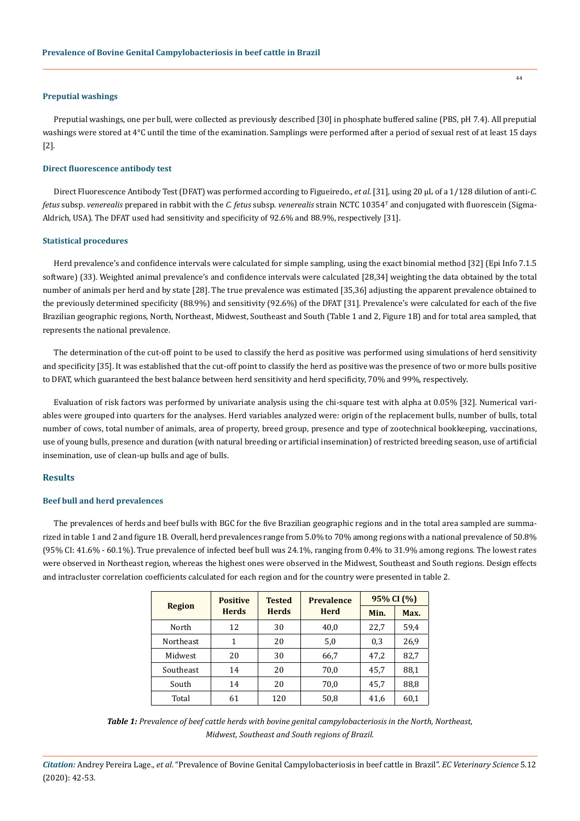#### **Preputial washings**

Preputial washings, one per bull, were collected as previously described [30] in phosphate buffered saline (PBS, pH 7.4). All preputial washings were stored at 4°C until the time of the examination. Samplings were performed after a period of sexual rest of at least 15 days [2].

#### **Direct fluorescence antibody test**

Direct Fluorescence Antibody Test (DFAT) was performed according to Figueiredo., *et al*. [31], using 20 µL of a 1/128 dilution of anti-*C. fetus* subsp. *venerealis* prepared in rabbit with the *C. fetus* subsp. *venerealis* strain NCTC 10354T and conjugated with fluorescein (Sigma-Aldrich, USA). The DFAT used had sensitivity and specificity of 92.6% and 88.9%, respectively [31].

#### **Statistical procedures**

Herd prevalence's and confidence intervals were calculated for simple sampling, using the exact binomial method [32] (Epi Info 7.1.5 software) (33). Weighted animal prevalence's and confidence intervals were calculated [28,34] weighting the data obtained by the total number of animals per herd and by state [28]. The true prevalence was estimated [35,36] adjusting the apparent prevalence obtained to the previously determined specificity (88.9%) and sensitivity (92.6%) of the DFAT [31]. Prevalence's were calculated for each of the five Brazilian geographic regions, North, Northeast, Midwest, Southeast and South (Table 1 and 2, Figure 1B) and for total area sampled, that represents the national prevalence.

The determination of the cut-off point to be used to classify the herd as positive was performed using simulations of herd sensitivity and specificity [35]. It was established that the cut-off point to classify the herd as positive was the presence of two or more bulls positive to DFAT, which guaranteed the best balance between herd sensitivity and herd specificity, 70% and 99%, respectively.

Evaluation of risk factors was performed by univariate analysis using the chi-square test with alpha at 0.05% [32]. Numerical variables were grouped into quarters for the analyses. Herd variables analyzed were: origin of the replacement bulls, number of bulls, total number of cows, total number of animals, area of property, breed group, presence and type of zootechnical bookkeeping, vaccinations, use of young bulls, presence and duration (with natural breeding or artificial insemination) of restricted breeding season, use of artificial insemination, use of clean-up bulls and age of bulls.

#### **Results**

#### **Beef bull and herd prevalences**

The prevalences of herds and beef bulls with BGC for the five Brazilian geographic regions and in the total area sampled are summarized in table 1 and 2 and figure 1B. Overall, herd prevalences range from 5.0% to 70% among regions with a national prevalence of 50.8% (95% CI: 41.6% - 60.1%). True prevalence of infected beef bull was 24.1%, ranging from 0.4% to 31.9% among regions. The lowest rates were observed in Northeast region, whereas the highest ones were observed in the Midwest, Southeast and South regions. Design effects and intracluster correlation coefficients calculated for each region and for the country were presented in table 2.

|               | <b>Positive</b><br><b>Prevalence</b><br><b>Tested</b> |              |             | 95% CI (%) |      |
|---------------|-------------------------------------------------------|--------------|-------------|------------|------|
| <b>Region</b> | <b>Herds</b>                                          | <b>Herds</b> | <b>Herd</b> | Min.       | Max. |
| North         | 12                                                    | 30           | 40.0        | 22,7       | 59,4 |
| Northeast     | 1                                                     | 20           | 5,0         | 0,3        | 26,9 |
| Midwest       | 20                                                    | 30           | 66,7        | 47,2       | 82,7 |
| Southeast     | 14                                                    | 20           | 70,0        | 45,7       | 88,1 |
| South         | 14                                                    | 20           | 70,0        | 45,7       | 88,8 |
| Total         | 61                                                    | 120          | 50,8        | 41,6       | 60,1 |

*Table 1: Prevalence of beef cattle herds with bovine genital campylobacteriosis in the North, Northeast, Midwest, Southeast and South regions of Brazil.*

*Citation:* Andrey Pereira Lage., *et al*. "Prevalence of Bovine Genital Campylobacteriosis in beef cattle in Brazil". *EC Veterinary Science* 5.12 (2020): 42-53.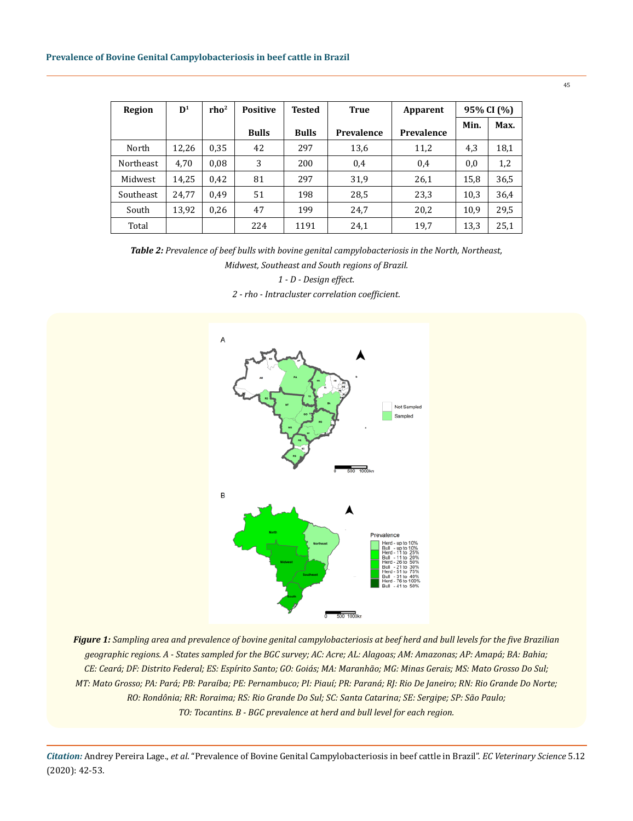| Region           | $\mathbf{D}^1$ | rho <sup>2</sup> | <b>Positive</b> | <b>Tested</b> | <b>True</b> | Apparent   |      | 95% CI (%) |
|------------------|----------------|------------------|-----------------|---------------|-------------|------------|------|------------|
|                  |                |                  | <b>Bulls</b>    | <b>Bulls</b>  | Prevalence  | Prevalence | Min. | Max.       |
| North            | 12,26          | 0.35             | 42              | 297           | 13,6        | 11,2       | 4,3  | 18,1       |
| <b>Northeast</b> | 4,70           | 0.08             | 3               | 200           | 0,4         | 0,4        | 0,0  | 1,2        |
| Midwest          | 14,25          | 0,42             | 81              | 297           | 31,9        | 26,1       | 15,8 | 36,5       |
| Southeast        | 24.77          | 0.49             | 51              | 198           | 28,5        | 23,3       | 10,3 | 36,4       |
| South            | 13,92          | 0.26             | 47              | 199           | 24,7        | 20,2       | 10,9 | 29,5       |
| Total            |                |                  | 224             | 1191          | 24,1        | 19,7       | 13,3 | 25,1       |

*Table 2: Prevalence of beef bulls with bovine genital campylobacteriosis in the North, Northeast,* 

*Midwest, Southeast and South regions of Brazil.*

*1 - D - Design effect.*

*2 - rho - Intracluster correlation coefficient.*



*Figure 1: Sampling area and prevalence of bovine genital campylobacteriosis at beef herd and bull levels for the five Brazilian geographic regions. A - States sampled for the BGC survey; AC: Acre; AL: Alagoas; AM: Amazonas; AP: Amapá; BA: Bahia; CE: Ceará; DF: Distrito Federal; ES: Espírito Santo; GO: Goiás; MA: Maranhão; MG: Minas Gerais; MS: Mato Grosso Do Sul; MT: Mato Grosso; PA: Pará; PB: Paraíba; PE: Pernambuco; PI: Piauí; PR: Paraná; RJ: Rio De Janeiro; RN: Rio Grande Do Norte; RO: Rondônia; RR: Roraima; RS: Rio Grande Do Sul; SC: Santa Catarina; SE: Sergipe; SP: São Paulo; TO: Tocantins. B - BGC prevalence at herd and bull level for each region.*

*Citation:* Andrey Pereira Lage., *et al*. "Prevalence of Bovine Genital Campylobacteriosis in beef cattle in Brazil". *EC Veterinary Science* 5.12 (2020): 42-53.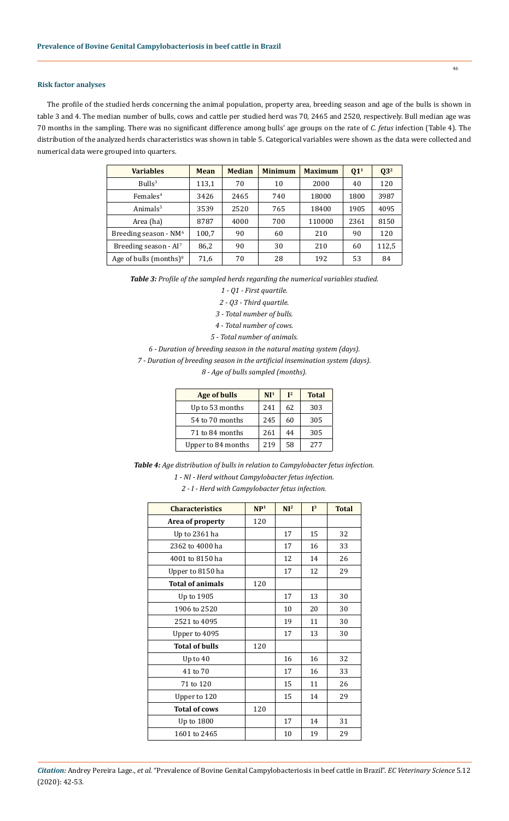## **Risk factor analyses**

The profile of the studied herds concerning the animal population, property area, breeding season and age of the bulls is shown in table 3 and 4. The median number of bulls, cows and cattle per studied herd was 70, 2465 and 2520, respectively. Bull median age was 70 months in the sampling. There was no significant difference among bulls' age groups on the rate of *C. fetus* infection (Table 4). The distribution of the analyzed herds characteristics was shown in table 5. Categorical variables were shown as the data were collected and numerical data were grouped into quarters.

| <b>Variables</b>                  | Mean  | <b>Median</b> | <b>Minimum</b> | <b>Maximum</b> | Q1 <sup>1</sup> | $\mathbf{Q}3^2$ |
|-----------------------------------|-------|---------------|----------------|----------------|-----------------|-----------------|
| Bulls <sup>3</sup>                | 113,1 | 70            | 10             | 2000           | 40              | 120             |
| $F$ emales <sup>4</sup>           | 3426  | 2465          | 740            | 18000          | 1800            | 3987            |
| Animals <sup>5</sup>              | 3539  | 2520          | 765            | 18400          | 1905            | 4095            |
| Area (ha)                         | 8787  | 4000          | 700            | 110000         | 2361            | 8150            |
| Breeding season - $NM6$           | 100,7 | 90            | 60             | 210            | 90              | 120             |
| Breeding season - AI <sup>7</sup> | 86,2  | 90            | 30             | 210            | 60              | 112,5           |
| Age of bulls (months) $8$         | 71,6  | 70            | 28             | 192            | 53              | 84              |

*Table 3: Profile of the sampled herds regarding the numerical variables studied.*

- *1 Q1 First quartile.*
- *2 Q3 Third quartile.*
- *3 Total number of bulls.*
- *4 Total number of cows.*
- *5 Total number of animals.*
- *6 Duration of breeding season in the natural mating system (days).*
- *7 Duration of breeding season in the artificial insemination system (days).*

*8 - Age of bulls sampled (months).*

| <b>Age of bulls</b> | NI <sup>1</sup> | $I^2$ | <b>Total</b> |
|---------------------|-----------------|-------|--------------|
| Up to 53 months     | 241             | 62    | 303          |
| 54 to 70 months     | 245             | 60    | 305          |
| 71 to 84 months     | 261             | 44    | 305          |
| Upper to 84 months  | 219             | 58    | 2.77         |

*Table 4: Age distribution of bulls in relation to Campylobacter fetus infection. 1 - NI - Herd without Campylobacter fetus infection.*

*2 - I - Herd with Campylobacter fetus infection.*

| <b>Characteristics</b>  | NP <sup>1</sup> | NI <sup>2</sup> | $\mathbf{I}^3$ | <b>Total</b> |
|-------------------------|-----------------|-----------------|----------------|--------------|
| Area of property        | 120             |                 |                |              |
| Up to 2361 ha           |                 | 17              | 15             | 32           |
| 2362 to 4000 ha         |                 | 17              | 16             | 33           |
| 4001 to 8150 ha         |                 | 12              | 14             | 26           |
| Upper to 8150 ha        |                 | 17              | 12             | 29           |
| <b>Total of animals</b> | 120             |                 |                |              |
| Up to 1905              |                 | 17              | 13             | 30           |
| 1906 to 2520            |                 | 10              | 20             | 30           |
| 2521 to 4095            |                 | 19              | 11             | 30           |
| Upper to 4095           |                 | 17              | 13             | 30           |
| <b>Total of bulls</b>   | 120             |                 |                |              |
| Up to $40$              |                 | 16              | 16             | 32           |
| 41 to 70                |                 | 17              | 16             | 33           |
| 71 to 120               |                 | 15              | 11             | 26           |
| Upper to 120            |                 | 15              | 14             | 29           |
| <b>Total of cows</b>    | 120             |                 |                |              |
| Up to 1800              |                 | 17              | 14             | 31           |
| 1601 to 2465            |                 | 10              | 19             | 29           |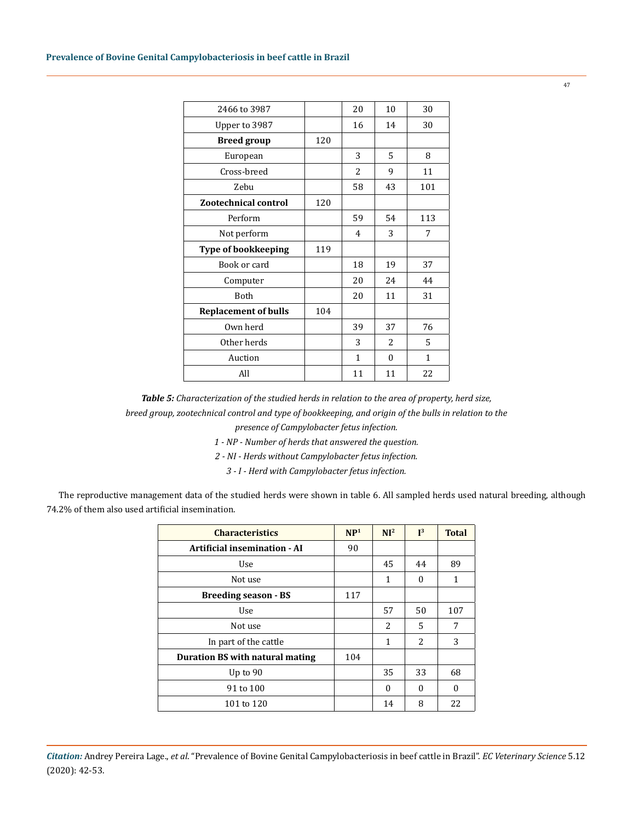| 2466 to 3987                |     | 20             | 10       | 30           |
|-----------------------------|-----|----------------|----------|--------------|
| Upper to 3987               |     | 16             | 14       | 30           |
| <b>Breed group</b>          | 120 |                |          |              |
| European                    |     | 3              | 5        | 8            |
| Cross-breed                 |     | $\overline{c}$ | 9        | 11           |
| Zebu                        |     | 58             | 43       | 101          |
| <b>Zootechnical control</b> | 120 |                |          |              |
| Perform                     |     | 59             | 54       | 113          |
| Not perform                 |     | 4              | 3        | 7            |
| <b>Type of bookkeeping</b>  | 119 |                |          |              |
| Book or card                |     | 18             | 19       | 37           |
| Computer                    |     | 20             | 24       | 44           |
| Both                        |     | 20             | 11       | 31           |
| <b>Replacement of bulls</b> | 104 |                |          |              |
| Own herd                    |     | 39             | 37       | 76           |
| Other herds                 |     | 3              | 2        | 5            |
| Auction                     |     | $\mathbf{1}$   | $\theta$ | $\mathbf{1}$ |
| All                         |     | 11             | 11       | 22           |

*Table 5: Characterization of the studied herds in relation to the area of property, herd size, breed group, zootechnical control and type of bookkeeping, and origin of the bulls in relation to the* 

*presence of Campylobacter fetus infection.*

- *1 NP Number of herds that answered the question.*
- *2 NI Herds without Campylobacter fetus infection.*

*3 - I - Herd with Campylobacter fetus infection.*

The reproductive management data of the studied herds were shown in table 6. All sampled herds used natural breeding, although 74.2% of them also used artificial insemination.

| <b>Characteristics</b>          | NP <sup>1</sup> | NI <sup>2</sup> | I <sup>3</sup> | <b>Total</b> |
|---------------------------------|-----------------|-----------------|----------------|--------------|
| Artificial insemination - AI    | 90              |                 |                |              |
| Use                             |                 | 45              | 44             | 89           |
| Not use                         |                 | 1               | $\Omega$       | 1            |
| <b>Breeding season - BS</b>     | 117             |                 |                |              |
| Use                             |                 | 57              | 50             | 107          |
| Not use                         |                 | 2               | 5              | 7            |
| In part of the cattle           |                 | $\mathbf{1}$    | $\mathcal{L}$  | 3            |
| Duration BS with natural mating | 104             |                 |                |              |
| Up to $90$                      |                 | 35              | 33             | 68           |
| 91 to 100                       |                 | $\Omega$        | $\Omega$       | $\theta$     |
| 101 to 120                      |                 | 14              | 8              | 22           |

*Citation:* Andrey Pereira Lage., *et al*. "Prevalence of Bovine Genital Campylobacteriosis in beef cattle in Brazil". *EC Veterinary Science* 5.12 (2020): 42-53.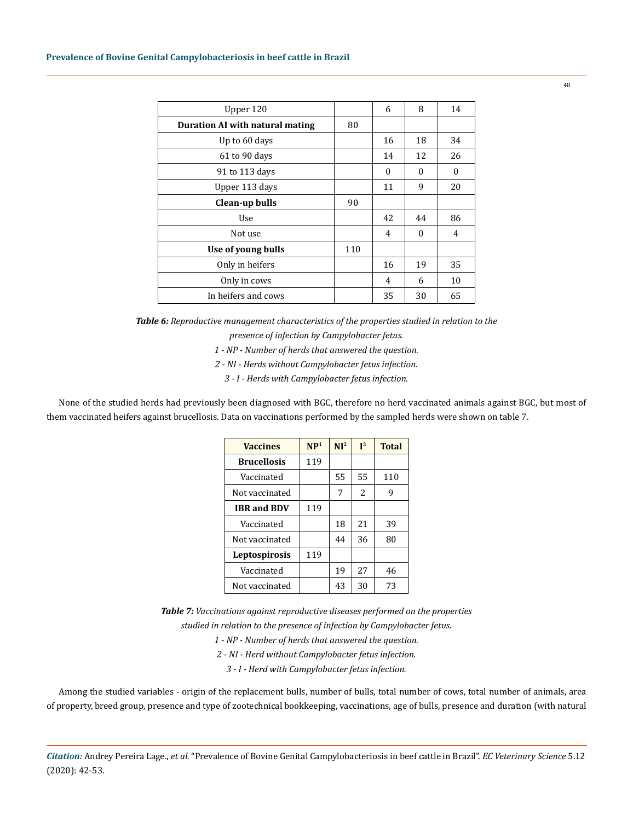| Upper 120                       |     | 6        | 8        | 14       |
|---------------------------------|-----|----------|----------|----------|
| Duration AI with natural mating | 80  |          |          |          |
| Up to 60 days                   |     | 16       | 18       | 34       |
| 61 to 90 days                   |     | 14       | 12       | 26       |
| 91 to 113 days                  |     | $\Omega$ | $\Omega$ | $\theta$ |
| Upper 113 days                  |     | 11       | 9        | 20       |
| Clean-up bulls                  | 90  |          |          |          |
| Use                             |     | 42       | 44       | 86       |
| Not use                         |     | 4        | $\Omega$ | 4        |
| Use of young bulls              | 110 |          |          |          |
| Only in heifers                 |     | 16       | 19       | 35       |
| Only in cows                    |     | 4        | 6        | 10       |
| In heifers and cows             |     | 35       | 30       | 65       |

*Table 6: Reproductive management characteristics of the properties studied in relation to the presence of infection by Campylobacter fetus.*

*1 - NP - Number of herds that answered the question.*

*2 - NI - Herds without Campylobacter fetus infection.*

*3 - I - Herds with Campylobacter fetus infection.*

None of the studied herds had previously been diagnosed with BGC, therefore no herd vaccinated animals against BGC, but most of them vaccinated heifers against brucellosis. Data on vaccinations performed by the sampled herds were shown on table 7.

| <b>Vaccines</b>    | NP <sup>1</sup> | NI <sup>2</sup> | I <sup>3</sup> | <b>Total</b> |
|--------------------|-----------------|-----------------|----------------|--------------|
| <b>Brucellosis</b> | 119             |                 |                |              |
| Vaccinated         |                 | 55              | 55             | 110          |
| Not vaccinated     |                 | 7               | $\mathcal{L}$  | 9            |
| <b>IBR and BDV</b> | 119             |                 |                |              |
| Vaccinated         |                 | 18              | 21             | 39           |
| Not vaccinated     |                 | 44              | 36             | 80           |
| Leptospirosis      | 119             |                 |                |              |
| Vaccinated         |                 | 19              | 27             | 46           |
| Not vaccinated     |                 | 43              | 30             | 73           |

*Table 7: Vaccinations against reproductive diseases performed on the properties studied in relation to the presence of infection by Campylobacter fetus.*

*1 - NP - Number of herds that answered the question.*

*2 - NI - Herd without Campylobacter fetus infection.*

*3 - I - Herd with Campylobacter fetus infection.*

Among the studied variables - origin of the replacement bulls, number of bulls, total number of cows, total number of animals, area of property, breed group, presence and type of zootechnical bookkeeping, vaccinations, age of bulls, presence and duration (with natural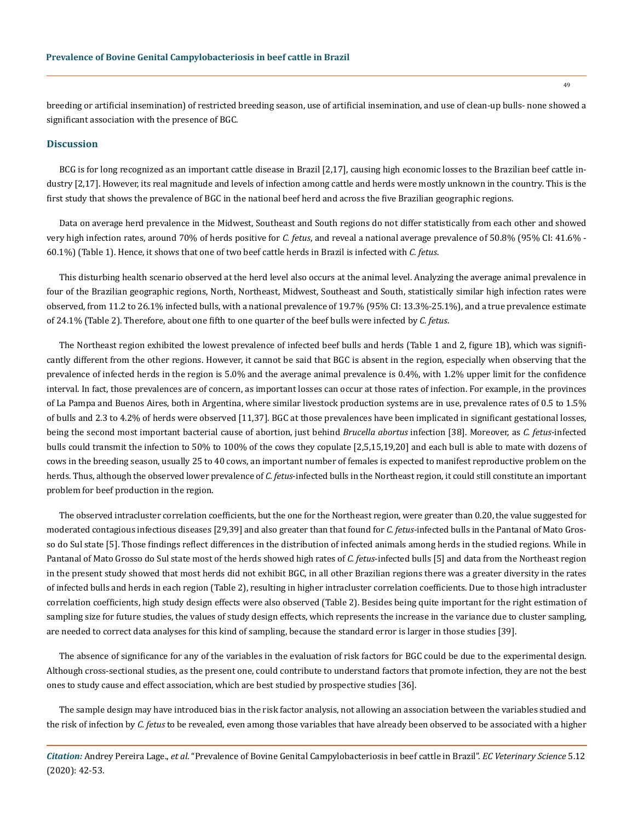breeding or artificial insemination) of restricted breeding season, use of artificial insemination, and use of clean-up bulls- none showed a significant association with the presence of BGC.

#### **Discussion**

BCG is for long recognized as an important cattle disease in Brazil [2,17], causing high economic losses to the Brazilian beef cattle industry [2,17]. However, its real magnitude and levels of infection among cattle and herds were mostly unknown in the country. This is the first study that shows the prevalence of BGC in the national beef herd and across the five Brazilian geographic regions.

Data on average herd prevalence in the Midwest, Southeast and South regions do not differ statistically from each other and showed very high infection rates, around 70% of herds positive for *C. fetus*, and reveal a national average prevalence of 50.8% (95% CI: 41.6% - 60.1%) (Table 1). Hence, it shows that one of two beef cattle herds in Brazil is infected with *C. fetus*.

This disturbing health scenario observed at the herd level also occurs at the animal level. Analyzing the average animal prevalence in four of the Brazilian geographic regions, North, Northeast, Midwest, Southeast and South, statistically similar high infection rates were observed, from 11.2 to 26.1% infected bulls, with a national prevalence of 19.7% (95% CI: 13.3%-25.1%), and a true prevalence estimate of 24.1% (Table 2). Therefore, about one fifth to one quarter of the beef bulls were infected by *C. fetus*.

The Northeast region exhibited the lowest prevalence of infected beef bulls and herds (Table 1 and 2, figure 1B), which was significantly different from the other regions. However, it cannot be said that BGC is absent in the region, especially when observing that the prevalence of infected herds in the region is 5.0% and the average animal prevalence is 0.4%, with 1.2% upper limit for the confidence interval. In fact, those prevalences are of concern, as important losses can occur at those rates of infection. For example, in the provinces of La Pampa and Buenos Aires, both in Argentina, where similar livestock production systems are in use, prevalence rates of 0.5 to 1.5% of bulls and 2.3 to 4.2% of herds were observed [11,37]. BGC at those prevalences have been implicated in significant gestational losses, being the second most important bacterial cause of abortion, just behind *Brucella abortus* infection [38]. Moreover, as *C. fetus*-infected bulls could transmit the infection to 50% to 100% of the cows they copulate [2,5,15,19,20] and each bull is able to mate with dozens of cows in the breeding season, usually 25 to 40 cows, an important number of females is expected to manifest reproductive problem on the herds. Thus, although the observed lower prevalence of *C. fetus*-infected bulls in the Northeast region, it could still constitute an important problem for beef production in the region.

The observed intracluster correlation coefficients, but the one for the Northeast region, were greater than 0.20, the value suggested for moderated contagious infectious diseases [29,39] and also greater than that found for *C. fetus*-infected bulls in the Pantanal of Mato Grosso do Sul state [5]. Those findings reflect differences in the distribution of infected animals among herds in the studied regions. While in Pantanal of Mato Grosso do Sul state most of the herds showed high rates of *C. fetus*-infected bulls [5] and data from the Northeast region in the present study showed that most herds did not exhibit BGC, in all other Brazilian regions there was a greater diversity in the rates of infected bulls and herds in each region (Table 2), resulting in higher intracluster correlation coefficients. Due to those high intracluster correlation coefficients, high study design effects were also observed (Table 2). Besides being quite important for the right estimation of sampling size for future studies, the values of study design effects, which represents the increase in the variance due to cluster sampling, are needed to correct data analyses for this kind of sampling, because the standard error is larger in those studies [39].

The absence of significance for any of the variables in the evaluation of risk factors for BGC could be due to the experimental design. Although cross-sectional studies, as the present one, could contribute to understand factors that promote infection, they are not the best ones to study cause and effect association, which are best studied by prospective studies [36].

The sample design may have introduced bias in the risk factor analysis, not allowing an association between the variables studied and the risk of infection by *C. fetus* to be revealed, even among those variables that have already been observed to be associated with a higher

*Citation:* Andrey Pereira Lage., *et al*. "Prevalence of Bovine Genital Campylobacteriosis in beef cattle in Brazil". *EC Veterinary Science* 5.12 (2020): 42-53.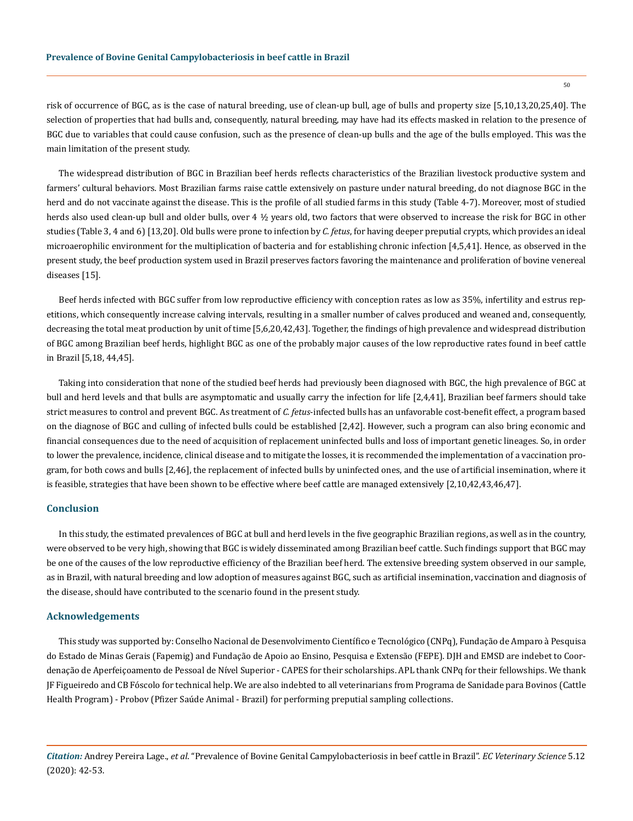risk of occurrence of BGC, as is the case of natural breeding, use of clean-up bull, age of bulls and property size [5,10,13,20,25,40]. The selection of properties that had bulls and, consequently, natural breeding, may have had its effects masked in relation to the presence of BGC due to variables that could cause confusion, such as the presence of clean-up bulls and the age of the bulls employed. This was the main limitation of the present study.

The widespread distribution of BGC in Brazilian beef herds reflects characteristics of the Brazilian livestock productive system and farmers' cultural behaviors. Most Brazilian farms raise cattle extensively on pasture under natural breeding, do not diagnose BGC in the herd and do not vaccinate against the disease. This is the profile of all studied farms in this study (Table 4-7). Moreover, most of studied herds also used clean-up bull and older bulls, over 4 ½ years old, two factors that were observed to increase the risk for BGC in other studies (Table 3, 4 and 6) [13,20]. Old bulls were prone to infection by *C. fetus*, for having deeper preputial crypts, which provides an ideal microaerophilic environment for the multiplication of bacteria and for establishing chronic infection [4,5,41]. Hence, as observed in the present study, the beef production system used in Brazil preserves factors favoring the maintenance and proliferation of bovine venereal diseases [15].

Beef herds infected with BGC suffer from low reproductive efficiency with conception rates as low as 35%, infertility and estrus repetitions, which consequently increase calving intervals, resulting in a smaller number of calves produced and weaned and, consequently, decreasing the total meat production by unit of time [5,6,20,42,43]. Together, the findings of high prevalence and widespread distribution of BGC among Brazilian beef herds, highlight BGC as one of the probably major causes of the low reproductive rates found in beef cattle in Brazil [5,18, 44,45].

Taking into consideration that none of the studied beef herds had previously been diagnosed with BGC, the high prevalence of BGC at bull and herd levels and that bulls are asymptomatic and usually carry the infection for life [2,4,41], Brazilian beef farmers should take strict measures to control and prevent BGC. As treatment of *C. fetus*-infected bulls has an unfavorable cost-benefit effect, a program based on the diagnose of BGC and culling of infected bulls could be established [2,42]. However, such a program can also bring economic and financial consequences due to the need of acquisition of replacement uninfected bulls and loss of important genetic lineages. So, in order to lower the prevalence, incidence, clinical disease and to mitigate the losses, it is recommended the implementation of a vaccination program, for both cows and bulls [2,46], the replacement of infected bulls by uninfected ones, and the use of artificial insemination, where it is feasible, strategies that have been shown to be effective where beef cattle are managed extensively [2,10,42,43,46,47].

#### **Conclusion**

In this study, the estimated prevalences of BGC at bull and herd levels in the five geographic Brazilian regions, as well as in the country, were observed to be very high, showing that BGC is widely disseminated among Brazilian beef cattle. Such findings support that BGC may be one of the causes of the low reproductive efficiency of the Brazilian beef herd. The extensive breeding system observed in our sample, as in Brazil, with natural breeding and low adoption of measures against BGC, such as artificial insemination, vaccination and diagnosis of the disease, should have contributed to the scenario found in the present study.

#### **Acknowledgements**

This study was supported by: Conselho Nacional de Desenvolvimento Científico e Tecnológico (CNPq), Fundação de Amparo à Pesquisa do Estado de Minas Gerais (Fapemig) and Fundação de Apoio ao Ensino, Pesquisa e Extensão (FEPE). DJH and EMSD are indebet to Coordenação de Aperfeiçoamento de Pessoal de Nível Superior - CAPES for their scholarships. APL thank CNPq for their fellowships. We thank JF Figueiredo and CB Fóscolo for technical help. We are also indebted to all veterinarians from Programa de Sanidade para Bovinos (Cattle Health Program) - Probov (Pfizer Saúde Animal - Brazil) for performing preputial sampling collections.

*Citation:* Andrey Pereira Lage., *et al*. "Prevalence of Bovine Genital Campylobacteriosis in beef cattle in Brazil". *EC Veterinary Science* 5.12 (2020): 42-53.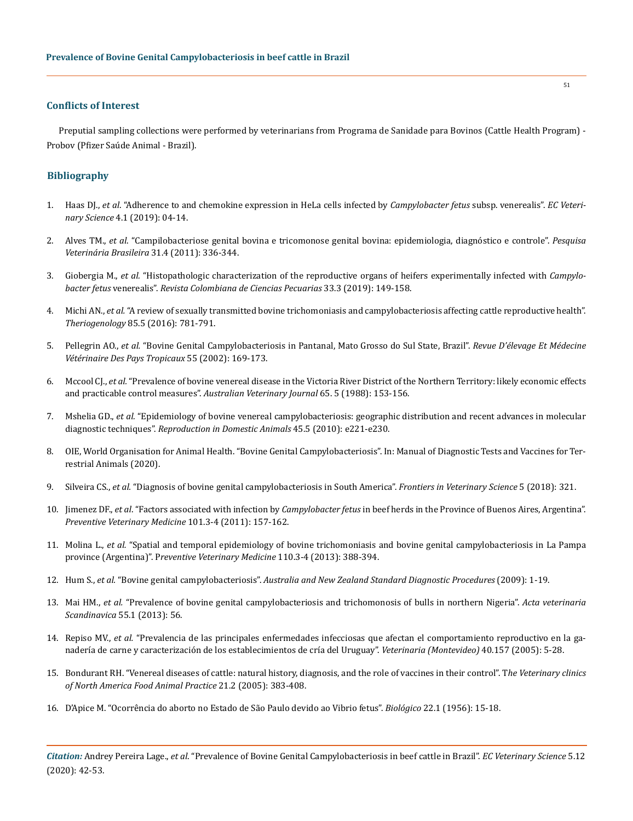#### **Conflicts of Interest**

Preputial sampling collections were performed by veterinarians from Programa de Sanidade para Bovinos (Cattle Health Program) - Probov (Pfizer Saúde Animal - Brazil).

## **Bibliography**

- 1. Haas DJ., *et al*[. "Adherence to and chemokine expression in HeLa cells infected by](https://www.ecronicon.com/veterinary-science.php) *Campylobacter fetus* subsp. venerealis". *EC Veterinary Science* [4.1 \(2019\): 04-14.](https://www.ecronicon.com/veterinary-science.php)
- 2. Alves TM., *et al*[. "Campilobacteriose genital bovina e tricomonose genital bovina: epidemiologia, diagnóstico e controle".](https://www.scielo.br/scielo.php?script=sci_arttext&pid=S0100-736X2011000400011&lng=en&nrm=iso&tlng=pt) *Pesquisa [Veterinária Brasileira](https://www.scielo.br/scielo.php?script=sci_arttext&pid=S0100-736X2011000400011&lng=en&nrm=iso&tlng=pt)* 31.4 (2011): 336-344.
- 3. Giobergia M., *et al.* ["Histopathologic characterization of the reproductive organs of heifers experimentally infected with](https://revistas.udea.edu.co/index.php/rccp/article/view/340411) *Campylobacter fetus* venerealis". *[Revista Colombiana de Ciencias Pecuarias](https://revistas.udea.edu.co/index.php/rccp/article/view/340411)* 33.3 (2019): 149-158.
- 4. Michi AN., *et al.* ["A review of sexually transmitted bovine trichomoniasis and campylobacteriosis affecting cattle reproductive health".](https://pubmed.ncbi.nlm.nih.gov/26679515/)  *Theriogenology* [85.5 \(2016\): 781-791.](https://pubmed.ncbi.nlm.nih.gov/26679515/)
- 5. Pellegrin AO., *et al.* ["Bovine Genital Campylobacteriosis in Pantanal, Mato Grosso do Sul State, Brazil".](https://revues.cirad.fr/index.php/REMVT/article/view/9820) *Revue D'élevage Et Médecine [Vétérinaire Des Pays Tropicaux](https://revues.cirad.fr/index.php/REMVT/article/view/9820)* 55 (2002): 169-173.
- 6. Mccool CJ., *et al.* ["Prevalence of bovine venereal disease in the Victoria River District of the Northern Territory: likely economic effects](https://pubmed.ncbi.nlm.nih.gov/3401162/)  [and practicable control measures".](https://pubmed.ncbi.nlm.nih.gov/3401162/) *Australian Veterinary Journal* 65. 5 (1988): 153-156.
- 7. Mshelia GD., *et al.* ["Epidemiology of bovine venereal campylobacteriosis: geographic distribution and recent advances in molecular](https://onlinelibrary.wiley.com/doi/abs/10.1111/j.1439-0531.2009.01546.x)  diagnostic techniques". *[Reproduction in Domestic Animals](https://onlinelibrary.wiley.com/doi/abs/10.1111/j.1439-0531.2009.01546.x)* 45.5 (2010): e221-e230.
- 8. [OIE, World Organisation for Animal Health. "Bovine Genital Campylobacteriosis". In: Manual of Diagnostic Tests and Vaccines for Ter](https://www.oie.int/standard-setting/terrestrial-manual/access-online/)[restrial Animals \(2020\).](https://www.oie.int/standard-setting/terrestrial-manual/access-online/)
- 9. Silveira CS., *et al.* ["Diagnosis of bovine genital campylobacteriosis in South America".](https://www.frontiersin.org/articles/10.3389/fvets.2018.00321/full) *Frontiers in Veterinary Science* 5 (2018): 321.
- 10. Jimenez DF., *et al*. "Factors associated with infection by *Campylobacter fetus* [in beef herds in the Province of Buenos Aires, Argentina".](https://pubmed.ncbi.nlm.nih.gov/21737166/)  *[Preventive Veterinary Medicine](https://pubmed.ncbi.nlm.nih.gov/21737166/)* 101.3-4 (2011): 157-162.
- 11. Molina L., *et al.* ["Spatial and temporal epidemiology of bovine trichomoniasis and bovine genital campylobacteriosis in La Pampa](https://www.sciencedirect.com/science/article/pii/S0167587713000688)  province (Argentina)". P*[reventive Veterinary Medicine](https://www.sciencedirect.com/science/article/pii/S0167587713000688)* 110.3-4 (2013): 388-394.
- 12. Hum S., *et al.* "Bovine genital campylobacteriosis". *[Australia and New Zealand Standard Diagnostic Procedures](https://www.agriculture.gov.au/animal/health/laboratories/procedures/anzsdp/bovine-genital-campylobacteriosis)* (2009): 1-19.
- 13. Mai HM., *et al.* ["Prevalence of bovine genital campylobacteriosis and trichomonosis of bulls in northern Nigeria".](https://www.ncbi.nlm.nih.gov/pmc/articles/PMC3751741/) *Acta veterinaria Scandinavica* [55.1 \(2013\): 56.](https://www.ncbi.nlm.nih.gov/pmc/articles/PMC3751741/)
- 14. Repiso MV., *et al.* ["Prevalencia de las principales enfermedades infecciosas que afectan el comportamiento reproductivo en la ga](http://www.revistasmvu.com.uy/index.php/smvu/article/view/368)[nadería de carne y caracterización de los establecimientos de cría del Uruguay".](http://www.revistasmvu.com.uy/index.php/smvu/article/view/368) *Veterinaria (Montevideo)* 40.157 (2005): 5-28.
- 15. [Bondurant RH. "Venereal diseases of cattle: natural history, diagnosis, and the role of vaccines in their control". T](https://pubmed.ncbi.nlm.nih.gov/15955436/)*he Veterinary clinics [of North America Food Animal Practice](https://pubmed.ncbi.nlm.nih.gov/15955436/)* 21.2 (2005): 383-408.
- 16. D'Apice M. "Ocorrência do aborto no Estado de São Paulo devido ao Vibrio fetus". *Biológico* 22.1 (1956): 15-18.

*Citation:* Andrey Pereira Lage., *et al*. "Prevalence of Bovine Genital Campylobacteriosis in beef cattle in Brazil". *EC Veterinary Science* 5.12 (2020): 42-53.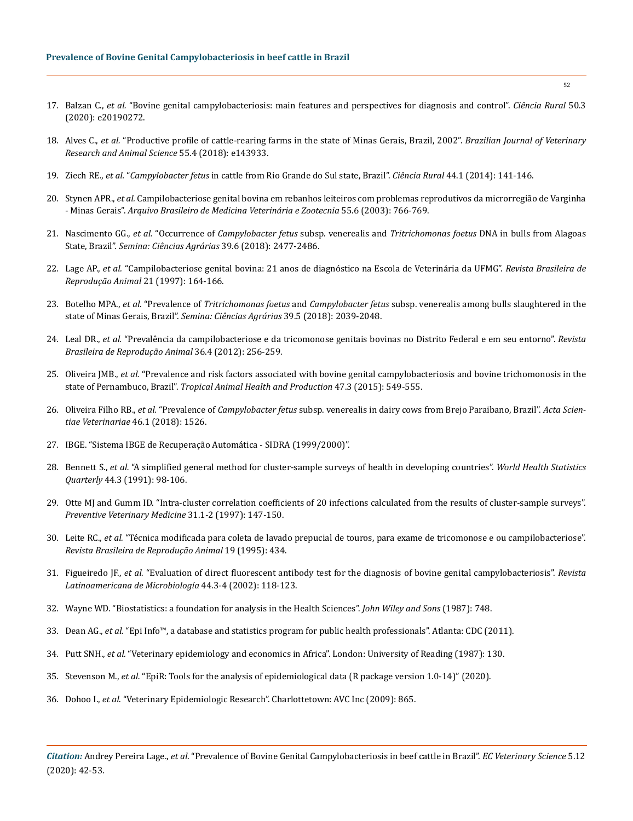- 17. Balzan C., *et al.* ["Bovine genital campylobacteriosis: main features and perspectives for diagnosis and control".](https://www.scielo.br/scielo.php?script=sci_arttext&pid=S0103-84782020000300451) *Ciência Rural* 50.3 [\(2020\): e20190272.](https://www.scielo.br/scielo.php?script=sci_arttext&pid=S0103-84782020000300451)
- 18. Alves C., *et al.* ["Productive profile of cattle-rearing farms in the state of Minas Gerais, Brazil, 2002".](http://www.revistas.usp.br/bjvras/article/view/143933) *Brazilian Journal of Veterinary [Research and Animal Science](http://www.revistas.usp.br/bjvras/article/view/143933)* 55.4 (2018): e143933.
- 19. Ziech RE., *et al.* "*Campylobacter fetus* [in cattle from Rio Grande do Sul state, Brazil".](https://www.scielo.br/scielo.php?script=sci_arttext&pid=S0103-84782014000100023) *Ciência Rural* 44.1 (2014): 141-146.
- 20. Stynen APR., *et al.* [Campilobacteriose genital bovina em rebanhos leiteiros com problemas reprodutivos da microrregião de Varginha](https://www.scielo.br/scielo.php?script=sci_arttext&pid=S0102-09352003000600015&lng=en&nrm=iso&tlng=pt)  - Minas Gerais". *[Arquivo Brasileiro de Medicina Veterinária e Zootecnia](https://www.scielo.br/scielo.php?script=sci_arttext&pid=S0102-09352003000600015&lng=en&nrm=iso&tlng=pt)* 55.6 (2003): 766-769.
- 21. Nascimento GG., *et al.* "Occurrence of *Campylobacter fetus* subsp. venerealis and *Tritrichomonas foetus* [DNA in bulls from Alagoas](http://www.uel.br/revistas/uel/index.php/semagrarias/article/view/33141)  State, Brazil". *[Semina: Ciências Agrárias](http://www.uel.br/revistas/uel/index.php/semagrarias/article/view/33141)* 39.6 (2018): 2477-2486.
- 22. Lage AP., *et al.* ["Campilobacteriose genital bovina: 21 anos de diagnóstico na Escola de Veterinária da UFMG".](https://www.scielo.br/pdf/abmvz/v55n6/19384.pdf) *Revista Brasileira de [Reprodução Animal](https://www.scielo.br/pdf/abmvz/v55n6/19384.pdf)* 21 (1997): 164-166.
- 23. Botelho MPA., *et al.* "Prevalence of *Tritrichomonas foetus* and *Campylobacter fetus* [subsp. venerealis among bulls slaughtered in the](http://www.uel.br/revistas/uel/index.php/semagrarias/article/view/30772)  state of Minas Gerais, Brazil". *[Semina: Ciências Agrárias](http://www.uel.br/revistas/uel/index.php/semagrarias/article/view/30772)* 39.5 (2018): 2039-2048.
- 24. Leal DR., *et al.* ["Prevalência da campilobacteriose e da tricomonose genitais bovinas no Distrito Federal e em seu entorno".](http://cbra.org.br/portal/publicacoes/rbra/2012/rbraod2012.html) *Revista [Brasileira de Reprodução Animal](http://cbra.org.br/portal/publicacoes/rbra/2012/rbraod2012.html)* 36.4 (2012): 256-259.
- 25. Oliveira JMB., *et al.* ["Prevalence and risk factors associated with bovine genital campylobacteriosis and bovine trichomonosis in the](https://link.springer.com/article/10.1007/s11250-015-0761-3)  state of Pernambuco, Brazil". *[Tropical Animal Health and Production](https://link.springer.com/article/10.1007/s11250-015-0761-3)* 47.3 (2015): 549-555.
- 26. Oliveira Filho RB., *et al.* "Prevalence of *Campylobacter fetus* [subsp. venerealis in dairy cows from Brejo Paraibano, Brazil".](https://seer.ufrgs.br/ActaScientiaeVeterinariae/article/view/81811/0) *Acta Scien[tiae Veterinariae](https://seer.ufrgs.br/ActaScientiaeVeterinariae/article/view/81811/0)* 46.1 (2018): 1526.
- 27. [IBGE. "Sistema IBGE de Recuperação Automática SIDRA \(1999/2000\)".](https://sidra.ibge.gov.br/)
- 28. Bennett S., *et al.* ["A simplified general method for cluster-sample surveys of health in developing countries".](https://pubmed.ncbi.nlm.nih.gov/1949887/) *World Health Statistics Quarterly* [44.3 \(1991\): 98-106.](https://pubmed.ncbi.nlm.nih.gov/1949887/)
- 29. [Otte MJ and Gumm ID. "Intra-cluster correlation coefficients of 20 infections calculated from the results of cluster-sample surveys".](https://www.sciencedirect.com/science/article/pii/S0167587796011087)  *[Preventive Veterinary Medicine](https://www.sciencedirect.com/science/article/pii/S0167587796011087)* 31.1-2 (1997): 147-150.
- 30. Leite RC., *et al.* "Técnica modificada para coleta de lavado prepucial de touros, para exame de tricomonose e ou campilobacteriose". *Revista Brasileira de Reprodução Animal* 19 (1995): 434.
- 31. Figueiredo JF., *et al.* ["Evaluation of direct fluorescent antibody test for the diagnosis of bovine genital campylobacteriosis".](https://www.medigraphic.com/cgi-bin/new/resumenI.cgi?IDARTICULO=4161&id2=) *Revista [Latinoamericana de Microbiología](https://www.medigraphic.com/cgi-bin/new/resumenI.cgi?IDARTICULO=4161&id2=)* 44.3-4 (2002): 118-123.
- 32. [Wayne WD. "Biostatistics: a foundation for analysis in the Health Sciences".](https://www.wiley.com/en-us/Biostatistics%3A+A+Foundation+for+Analysis+in+the+Health+Sciences%2C+11th+Edition-p-9781119496571) *John Wiley and Sons* (1987): 748.
- 33. Dean AG., *et al.* ["Epi Info™, a database and statistics program for public health professionals". Atlanta: CDC \(2011\).](https://www.cdc.gov/epiinfo/)
- 34. Putt SNH., *et al.* "Veterinary epidemiology and economics in Africa". London: University of Reading (1987): 130.
- 35. Stevenson M., *et al.* ["EpiR: Tools for the analysis of epidemiological data \(R package version 1.0-14\)" \(2020\).](https://CRAN.R-project.org/package=epiR)
- 36. Dohoo I., *et al*. "Veterinary Epidemiologic Research". Charlottetown: AVC Inc (2009): 865.